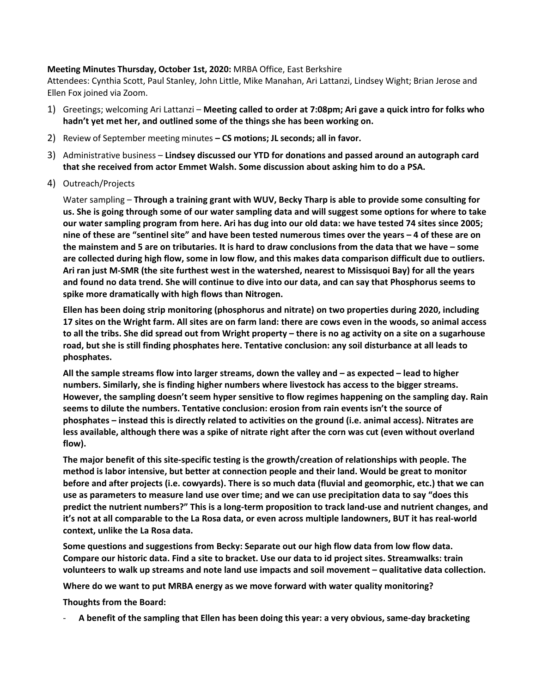## **Meeting Minutes Thursday, October 1st, 2020:** MRBA Office, East Berkshire

Attendees: Cynthia Scott, Paul Stanley, John Little, Mike Manahan, Ari Lattanzi, Lindsey Wight; Brian Jerose and Ellen Fox joined via Zoom.

- 1) Greetings; welcoming Ari Lattanzi **Meeting called to order at 7:08pm; Ari gave a quick intro for folks who hadn't yet met her, and outlined some of the things she has been working on.**
- 2) Review of September meeting minutes **– CS motions; JL seconds; all in favor.**
- 3) Administrative business **Lindsey discussed our YTD for donations and passed around an autograph card that she received from actor Emmet Walsh. Some discussion about asking him to do a PSA.**
- 4) Outreach/Projects

Water sampling – **Through a training grant with WUV, Becky Tharp is able to provide some consulting for us. She is going through some of our water sampling data and will suggest some options for where to take our water sampling program from here. Ari has dug into our old data: we have tested 74 sites since 2005; nine of these are "sentinel site" and have been tested numerous times over the years – 4 of these are on the mainstem and 5 are on tributaries. It is hard to draw conclusions from the data that we have – some are collected during high flow, some in low flow, and this makes data comparison difficult due to outliers. Ari ran just M-SMR (the site furthest west in the watershed, nearest to Missisquoi Bay) for all the years and found no data trend. She will continue to dive into our data, and can say that Phosphorus seems to spike more dramatically with high flows than Nitrogen.**

**Ellen has been doing strip monitoring (phosphorus and nitrate) on two properties during 2020, including 17 sites on the Wright farm. All sites are on farm land: there are cows even in the woods, so animal access to all the tribs. She did spread out from Wright property – there is no ag activity on a site on a sugarhouse road, but she is still finding phosphates here. Tentative conclusion: any soil disturbance at all leads to phosphates.** 

**All the sample streams flow into larger streams, down the valley and – as expected – lead to higher numbers. Similarly, she is finding higher numbers where livestock has access to the bigger streams. However, the sampling doesn't seem hyper sensitive to flow regimes happening on the sampling day. Rain seems to dilute the numbers. Tentative conclusion: erosion from rain events isn't the source of phosphates – instead this is directly related to activities on the ground (i.e. animal access). Nitrates are less available, although there was a spike of nitrate right after the corn was cut (even without overland flow).**

**The major benefit of this site-specific testing is the growth/creation of relationships with people. The method is labor intensive, but better at connection people and their land. Would be great to monitor before and after projects (i.e. cowyards). There is so much data (fluvial and geomorphic, etc.) that we can use as parameters to measure land use over time; and we can use precipitation data to say "does this predict the nutrient numbers?" This is a long-term proposition to track land-use and nutrient changes, and it's not at all comparable to the La Rosa data, or even across multiple landowners, BUT it has real-world context, unlike the La Rosa data.**

**Some questions and suggestions from Becky: Separate out our high flow data from low flow data. Compare our historic data. Find a site to bracket. Use our data to id project sites. Streamwalks: train volunteers to walk up streams and note land use impacts and soil movement – qualitative data collection.**

**Where do we want to put MRBA energy as we move forward with water quality monitoring?**

**Thoughts from the Board:** 

- **A benefit of the sampling that Ellen has been doing this year: a very obvious, same-day bracketing**